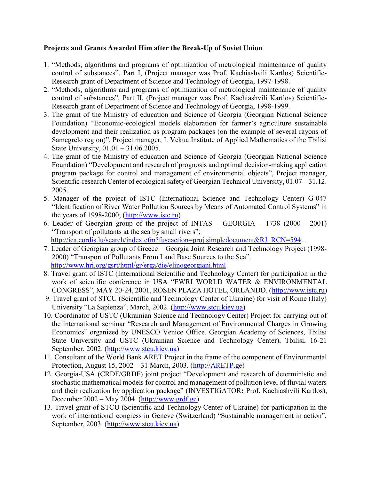## Projects and Grants Awarded Him after the Break-Up of Soviet Union

- 1. "Methods, algorithms and programs of optimization of metrological maintenance of quality control of substances", Part I, (Project manager was Prof. Kachiashvili Kartlos) Scientific-Research grant of Department of Science and Technology of Georgia, 1997-1998.
- 2. "Methods, algorithms and programs of optimization of metrological maintenance of quality control of substances", Part II, (Project manager was Prof. Kachiashvili Kartlos) Scientific-Research grant of Department of Science and Technology of Georgia, 1998-1999.
- 3. The grant of the Ministry of education and Science of Georgia (Georgian National Science Foundation) "Economic-ecological models elaboration for farmer's agriculture sustainable development and their realization as program packages (on the example of several rayons of Samegrelo region)", Project manager, I. Vekua Institute of Applied Mathematics of the Tbilisi State University, 01.01 – 31.06.2005.
- 4. The grant of the Ministry of education and Science of Georgia (Georgian National Science Foundation) "Development and research of prognosis and optimal decision-making application program package for control and management of environmental objects", Project manager, Scientific-research Center of ecological safety of Georgian Technical University, 01.07 – 31.12. 2005.
- 5. Manager of the project of ISTC (International Science and Technology Center) G-047 "Identification of River Water Pollution Sources by Means of Automated Control Systems" in the years of 1998-2000; (http://www.istc.ru)
- 6. Leader of Georgian group of the project of INTAS GEORGIA 1738 (2000 2001) "Transport of pollutants at the sea by small rivers";
	- http://ica.cordis.lu/search/index.cfm?fuseaction=proj.simpledocument&RJ\_RCN=594...
- 7. Leader of Georgian group of Greece Georgia Joint Research and Technology Project (1998- 2000) "Transport of Pollutants From Land Base Sources to the Sea". http://www.hri.org/gsrt/html/gr/erga/die/elinogeorgiani.html
- 8. Travel grant of ISTC (International Scientific and Technology Center) for participation in the work of scientific conference in USA "EWRI WORLD WATER & ENVIRONMENTAL CONGRESS", MAY 20-24, 2001, ROSEN PLAZA HOTEL, ORLANDO. (http://www.istc.ru)
- 9. Travel grant of STCU (Scientific and Technology Center of Ukraine) for visit of Rome (Italy) University "La Sapienza", March, 2002. (http://www.stcu.kiev.ua)
- 10. Coordinator of USTC (Ukrainian Science and Technology Center) Project for carrying out of the international seminar "Research and Management of Environmental Charges in Growing Economics" organized by UNESCO Venice Office, Georgian Academy of Sciences, Tbilisi State University and USTC (Ukrainian Science and Technology Center), Tbilisi, 16-21 September, 2002. (http://www.stcu.kiev.ua)
- 11. Consultant of the World Bank ARET Project in the frame of the component of Environmental Protection, August 15, 2002 – 31 March, 2003. (http://ARETP.ge)
- 12. Georgia-USA (CRDF/GRDF) joint project "Development and research of deterministic and stochastic mathematical models for control and management of pollution level of fluvial waters and their realization by application package" (INVESTIGATOR: Prof. Kachiashvili Kartlos), December 2002 – May 2004. (http://www.grdf.ge)
- 13. Travel grant of STCU (Scientific and Technology Center of Ukraine) for participation in the work of international congress in Geneve (Switzerland) "Sustainable management in action", September, 2003. (http://www.stcu.kiev.ua)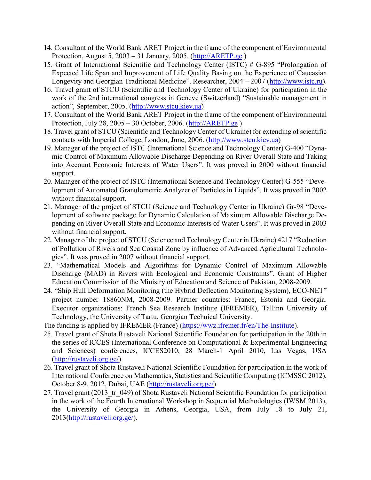- 14. Consultant of the World Bank ARET Project in the frame of the component of Environmental Protection, August 5, 2003 – 31 January, 2005. (http://ARETP.ge )
- 15. Grant of International Scientific and Technology Center (ISTC) # G-895 "Prolongation of Expected Life Span and Improvement of Life Quality Basing on the Experience of Caucasian Longevity and Georgian Traditional Medicine". Researcher, 2004 – 2007 (http://www.istc.ru).
- 16. Travel grant of STCU (Scientific and Technology Center of Ukraine) for participation in the work of the 2nd international congress in Geneve (Switzerland) "Sustainable management in action", September, 2005. (http://www.stcu.kiev.ua)
- 17. Consultant of the World Bank ARET Project in the frame of the component of Environmental Protection, July 28, 2005 – 30 October, 2006. (http://ARETP.ge )
- 18. Travel grant of STCU (Scientific and Technology Center of Ukraine) for extending of scientific contacts with Imperial College, London, June, 2006. (http://www.stcu.kiev.ua)
- 19. Manager of the project of ISTC (International Science and Technology Center) G-400 "Dynamic Control of Maximum Allowable Discharge Depending on River Overall State and Taking into Account Economic Interests of Water Users". It was proved in 2000 without financial support.
- 20. Manager of the project of ISTC (International Science and Technology Center) G-555 "Development of Automated Granulometric Analyzer of Particles in Liquids". It was proved in 2002 without financial support.
- 21. Manager of the project of STCU (Science and Technology Center in Ukraine) Gr-98 "Development of software package for Dynamic Calculation of Maximum Allowable Discharge Depending on River Overall State and Economic Interests of Water Users". It was proved in 2003 without financial support.
- 22. Manager of the project of STCU (Science and Technology Center in Ukraine) 4217 "Reduction of Pollution of Rivers and Sea Coastal Zone by influence of Advanced Agricultural Technologies". It was proved in 2007 without financial support.
- 23. "Mathematical Models and Algorithms for Dynamic Control of Maximum Allowable Discharge (MAD) in Rivers with Ecological and Economic Constraints". Grant of Higher Education Commission of the Ministry of Education and Science of Pakistan, 2008-2009.
- 24. "Ship Hull Deformation Monitoring (the Hybrid Deflection Monitoring System), ECO-NET" project number 18860NM, 2008-2009. Partner countries: France, Estonia and Georgia. Executor organizations: French Sea Research Institute (IFREMER), Tallinn University of Technology, the University of Tartu, Georgian Technical University.

The funding is applied by IFREMER (France) (https://wwz.ifremer.fr/en/The-Institute).

- 25. Travel grant of Shota Rustaveli National Scientific Foundation for participation in the 20th in the series of ICCES (International Conference on Computational & Experimental Engineering and Sciences) conferences, ICCES2010, 28 March-1 April 2010, Las Vegas, USA (http://rustaveli.org.ge/).
- 26. Travel grant of Shota Rustaveli National Scientific Foundation for participation in the work of International Conference on Mathematics, Statistics and Scientific Computing (ICMSSC 2012), October 8-9, 2012, Dubai, UAE (http://rustaveli.org.ge/).
- 27. Travel grant (2013 tr 049) of Shota Rustaveli National Scientific Foundation for participation in the work of the Fourth International Workshop in Sequential Methodologies (IWSM 2013), the University of Georgia in Athens, Georgia, USA, from July 18 to July 21, 2013(http://rustaveli.org.ge/).